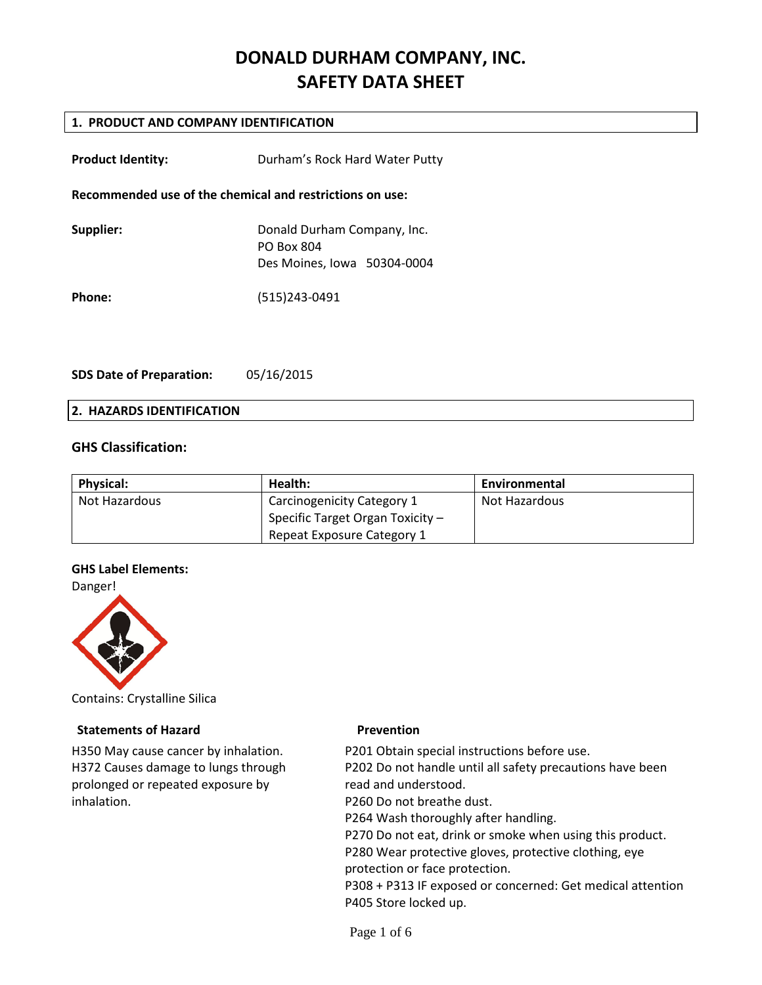# **DONALD DURHAM COMPANY, INC. SAFETY DATA SHEET**

# **1. PRODUCT AND COMPANY IDENTIFICATION**

| <b>Product Identity:</b>                                 | Durham's Rock Hard Water Putty                                                  |  |
|----------------------------------------------------------|---------------------------------------------------------------------------------|--|
| Recommended use of the chemical and restrictions on use: |                                                                                 |  |
| Supplier:                                                | Donald Durham Company, Inc.<br><b>PO Box 804</b><br>Des Moines, Iowa 50304-0004 |  |
| Phone:                                                   | (515)243-0491                                                                   |  |

**SDS Date of Preparation:** 05/16/2015

#### **2. HAZARDS IDENTIFICATION**

# **GHS Classification:**

| <b>Physical:</b> | Health:                            | Environmental |
|------------------|------------------------------------|---------------|
| Not Hazardous    | Carcinogenicity Category 1         | Not Hazardous |
|                  | Specific Target Organ Toxicity $-$ |               |
|                  | Repeat Exposure Category 1         |               |

### **GHS Label Elements:**

Danger!



Contains: Crystalline Silica

#### **Statements of Hazard Prevention**

H350 May cause cancer by inhalation. H372 Causes damage to lungs through prolonged or repeated exposure by inhalation.

P201 Obtain special instructions before use. P202 Do not handle until all safety precautions have been read and understood. P260 Do not breathe dust. P264 Wash thoroughly after handling. P270 Do not eat, drink or smoke when using this product. P280 Wear protective gloves, protective clothing, eye protection or face protection. P308 + P313 IF exposed or concerned: Get medical attention P405 Store locked up.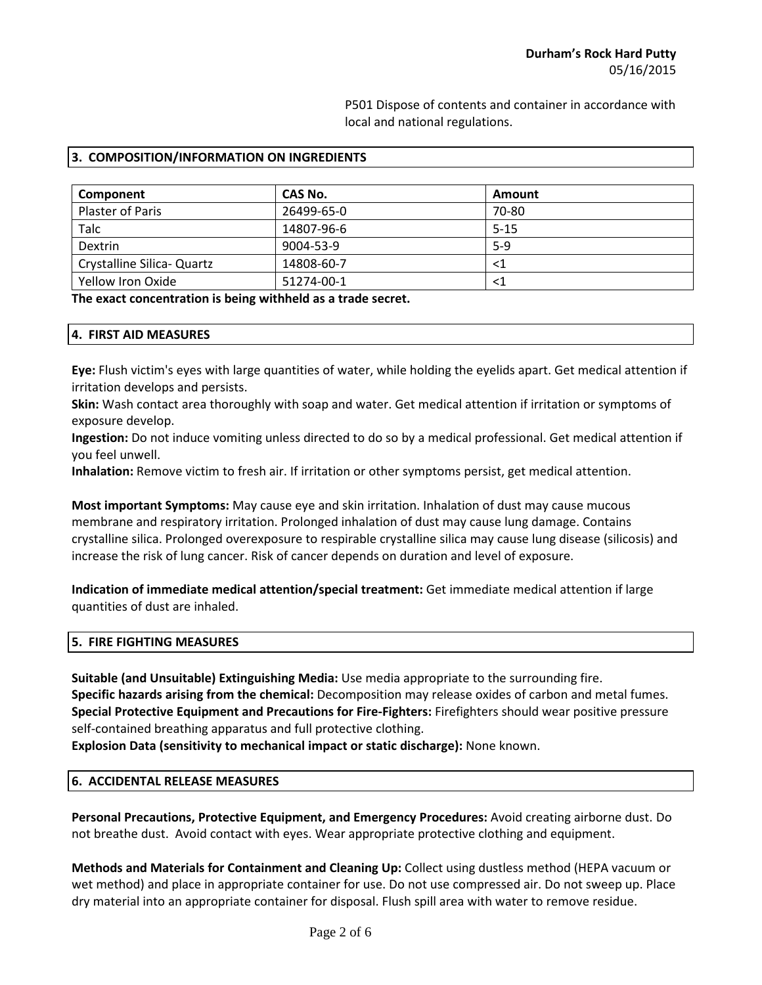P501 Dispose of contents and container in accordance with local and national regulations.

| 3. COMPOSITION/INFORMATION ON INGREDIENTS |  |
|-------------------------------------------|--|
|-------------------------------------------|--|

| Component                  | CAS No.    | Amount   |
|----------------------------|------------|----------|
| Plaster of Paris           | 26499-65-0 | 70-80    |
| Talc                       | 14807-96-6 | $5 - 15$ |
| Dextrin                    | 9004-53-9  | $5-9$    |
| Crystalline Silica- Quartz | 14808-60-7 | <1       |
| Yellow Iron Oxide          | 51274-00-1 |          |

**The exact concentration is being withheld as a trade secret.**

| 4. FIRST AID MEASURES |  |
|-----------------------|--|
|-----------------------|--|

**Eye:** Flush victim's eyes with large quantities of water, while holding the eyelids apart. Get medical attention if irritation develops and persists.

**Skin:** Wash contact area thoroughly with soap and water. Get medical attention if irritation or symptoms of exposure develop.

**Ingestion:** Do not induce vomiting unless directed to do so by a medical professional. Get medical attention if you feel unwell.

**Inhalation:** Remove victim to fresh air. If irritation or other symptoms persist, get medical attention.

**Most important Symptoms:** May cause eye and skin irritation. Inhalation of dust may cause mucous membrane and respiratory irritation. Prolonged inhalation of dust may cause lung damage. Contains crystalline silica. Prolonged overexposure to respirable crystalline silica may cause lung disease (silicosis) and increase the risk of lung cancer. Risk of cancer depends on duration and level of exposure.

**Indication of immediate medical attention/special treatment:** Get immediate medical attention if large quantities of dust are inhaled.

#### **5. FIRE FIGHTING MEASURES**

**Suitable (and Unsuitable) Extinguishing Media:** Use media appropriate to the surrounding fire. **Specific hazards arising from the chemical:** Decomposition may release oxides of carbon and metal fumes. **Special Protective Equipment and Precautions for Fire-Fighters:** Firefighters should wear positive pressure self-contained breathing apparatus and full protective clothing.

**Explosion Data (sensitivity to mechanical impact or static discharge):** None known.

#### **6. ACCIDENTAL RELEASE MEASURES**

**Personal Precautions, Protective Equipment, and Emergency Procedures:** Avoid creating airborne dust. Do not breathe dust. Avoid contact with eyes. Wear appropriate protective clothing and equipment.

**Methods and Materials for Containment and Cleaning Up:** Collect using dustless method (HEPA vacuum or wet method) and place in appropriate container for use. Do not use compressed air. Do not sweep up. Place dry material into an appropriate container for disposal. Flush spill area with water to remove residue.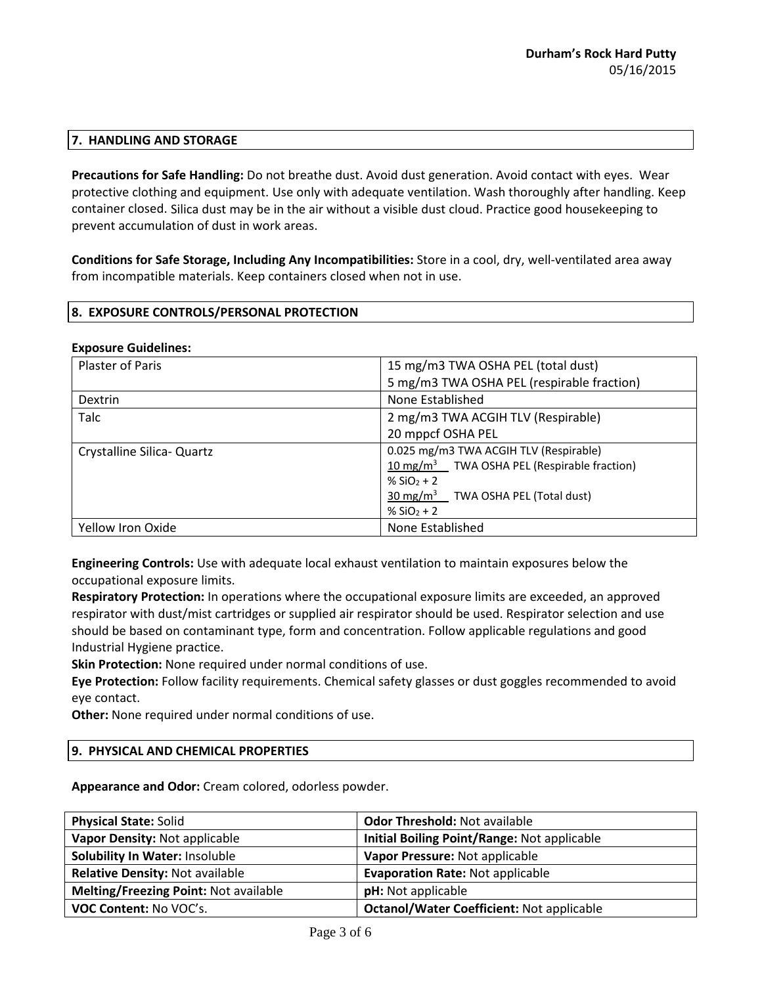# **7. HANDLING AND STORAGE**

**Precautions for Safe Handling:** Do not breathe dust. Avoid dust generation. Avoid contact with eyes. Wear protective clothing and equipment. Use only with adequate ventilation. Wash thoroughly after handling. Keep container closed. Silica dust may be in the air without a visible dust cloud. Practice good housekeeping to prevent accumulation of dust in work areas.

**Conditions for Safe Storage, Including Any Incompatibilities:** Store in a cool, dry, well-ventilated area away from incompatible materials. Keep containers closed when not in use.

# **8. EXPOSURE CONTROLS/PERSONAL PROTECTION**

#### **Exposure Guidelines:**

| Plaster of Paris           | 15 mg/m3 TWA OSHA PEL (total dust)                      |  |
|----------------------------|---------------------------------------------------------|--|
|                            | 5 mg/m3 TWA OSHA PEL (respirable fraction)              |  |
| <b>Dextrin</b>             | None Established                                        |  |
| Talc                       | 2 mg/m3 TWA ACGIH TLV (Respirable)                      |  |
|                            | 20 mppcf OSHA PEL                                       |  |
| Crystalline Silica- Quartz | 0.025 mg/m3 TWA ACGIH TLV (Respirable)                  |  |
|                            | 10 mg/m <sup>3</sup> TWA OSHA PEL (Respirable fraction) |  |
|                            | % $SiO2 + 2$                                            |  |
|                            | 30 mg/m <sup>3</sup> TWA OSHA PEL (Total dust)          |  |
|                            | % $SiO2 + 2$                                            |  |
| Yellow Iron Oxide          | None Established                                        |  |

**Engineering Controls:** Use with adequate local exhaust ventilation to maintain exposures below the occupational exposure limits.

**Respiratory Protection:** In operations where the occupational exposure limits are exceeded, an approved respirator with dust/mist cartridges or supplied air respirator should be used. Respirator selection and use should be based on contaminant type, form and concentration. Follow applicable regulations and good Industrial Hygiene practice.

**Skin Protection:** None required under normal conditions of use.

**Eye Protection:** Follow facility requirements. Chemical safety glasses or dust goggles recommended to avoid eye contact.

**Other:** None required under normal conditions of use.

#### **9. PHYSICAL AND CHEMICAL PROPERTIES**

**Appearance and Odor:** Cream colored, odorless powder.

| <b>Physical State: Solid</b>           | <b>Odor Threshold: Not available</b>             |
|----------------------------------------|--------------------------------------------------|
| Vapor Density: Not applicable          | Initial Boiling Point/Range: Not applicable      |
| <b>Solubility In Water: Insoluble</b>  | Vapor Pressure: Not applicable                   |
| <b>Relative Density: Not available</b> | <b>Evaporation Rate: Not applicable</b>          |
| Melting/Freezing Point: Not available  | pH: Not applicable                               |
| VOC Content: No VOC's.                 | <b>Octanol/Water Coefficient: Not applicable</b> |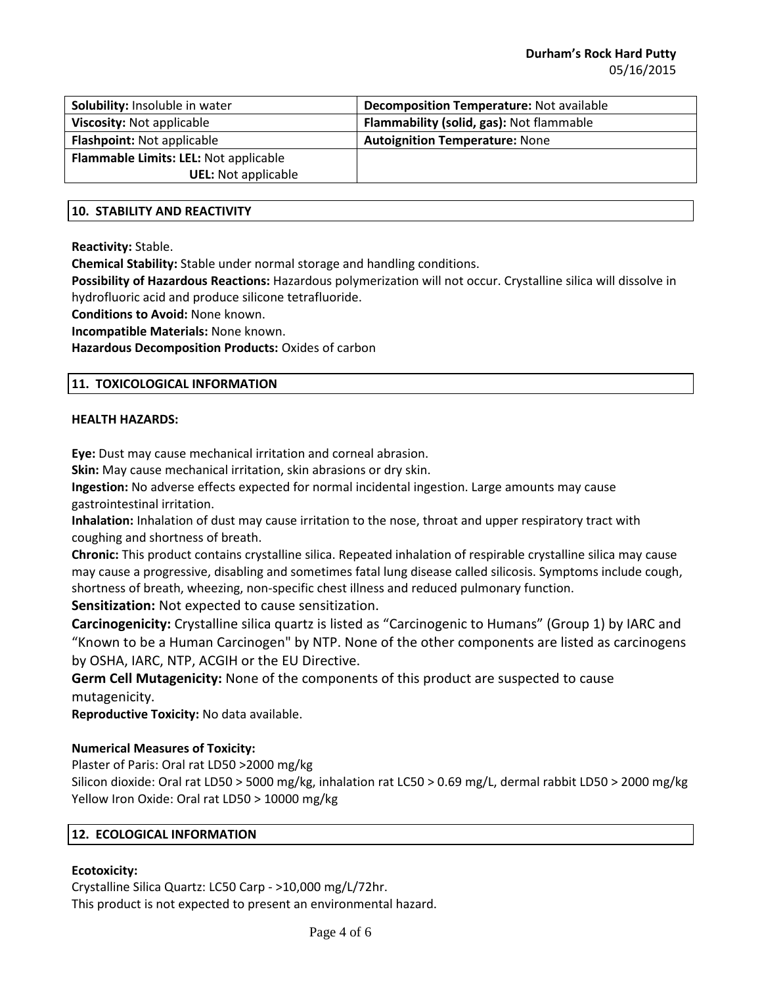| Solubility: Insoluble in water        | <b>Decomposition Temperature: Not available</b> |
|---------------------------------------|-------------------------------------------------|
| Viscosity: Not applicable             | Flammability (solid, gas): Not flammable        |
| <b>Flashpoint: Not applicable</b>     | <b>Autoignition Temperature: None</b>           |
| Flammable Limits: LEL: Not applicable |                                                 |
| <b>UEL:</b> Not applicable            |                                                 |

### **10. STABILITY AND REACTIVITY**

**Reactivity:** Stable.

**Chemical Stability:** Stable under normal storage and handling conditions.

**Possibility of Hazardous Reactions:** Hazardous polymerization will not occur. Crystalline silica will dissolve in hydrofluoric acid and produce silicone tetrafluoride.

**Conditions to Avoid:** None known.

**Incompatible Materials:** None known.

**Hazardous Decomposition Products:** Oxides of carbon

# **11. TOXICOLOGICAL INFORMATION**

#### **HEALTH HAZARDS:**

**Eye:** Dust may cause mechanical irritation and corneal abrasion.

**Skin:** May cause mechanical irritation, skin abrasions or dry skin.

**Ingestion:** No adverse effects expected for normal incidental ingestion. Large amounts may cause gastrointestinal irritation.

**Inhalation:** Inhalation of dust may cause irritation to the nose, throat and upper respiratory tract with coughing and shortness of breath.

**Chronic:** This product contains crystalline silica. Repeated inhalation of respirable crystalline silica may cause may cause a progressive, disabling and sometimes fatal lung disease called silicosis. Symptoms include cough, shortness of breath, wheezing, non-specific chest illness and reduced pulmonary function.

**Sensitization:** Not expected to cause sensitization.

**Carcinogenicity:** Crystalline silica quartz is listed as "Carcinogenic to Humans" (Group 1) by IARC and "Known to be a Human Carcinogen" by NTP. None of the other components are listed as carcinogens by OSHA, IARC, NTP, ACGIH or the EU Directive.

**Germ Cell Mutagenicity:** None of the components of this product are suspected to cause mutagenicity.

**Reproductive Toxicity:** No data available.

# **Numerical Measures of Toxicity:**

Plaster of Paris: Oral rat LD50 >2000 mg/kg

Silicon dioxide: Oral rat LD50 > 5000 mg/kg, inhalation rat LC50 > 0.69 mg/L, dermal rabbit LD50 > 2000 mg/kg Yellow Iron Oxide: Oral rat LD50 > 10000 mg/kg

# **12. ECOLOGICAL INFORMATION**

# **Ecotoxicity:**

Crystalline Silica Quartz: LC50 Carp - >10,000 mg/L/72hr. This product is not expected to present an environmental hazard.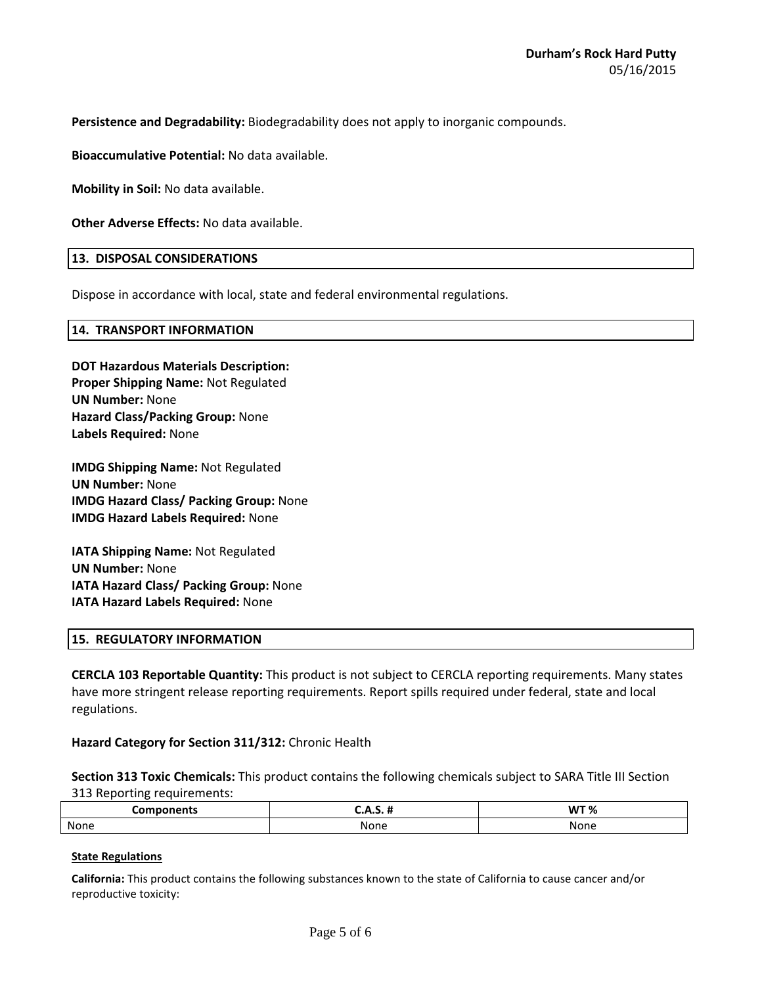**Persistence and Degradability:** Biodegradability does not apply to inorganic compounds.

**Bioaccumulative Potential:** No data available.

**Mobility in Soil:** No data available.

**Other Adverse Effects:** No data available.

#### **13. DISPOSAL CONSIDERATIONS**

Dispose in accordance with local, state and federal environmental regulations.

#### **14. TRANSPORT INFORMATION**

**Labels Required:** None

# **DOT Hazardous Materials Description: Proper Shipping Name:** Not Regulated **UN Number:** None **Hazard Class/Packing Group:** None

**IMDG Shipping Name:** Not Regulated **UN Number:** None **IMDG Hazard Class/ Packing Group:** None **IMDG Hazard Labels Required:** None

**IATA Shipping Name:** Not Regulated **UN Number:** None **IATA Hazard Class/ Packing Group:** None **IATA Hazard Labels Required:** None

#### **15. REGULATORY INFORMATION**

**CERCLA 103 Reportable Quantity:** This product is not subject to CERCLA reporting requirements. Many states have more stringent release reporting requirements. Report spills required under federal, state and local regulations.

**Hazard Category for Section 311/312:** Chronic Health

**Section 313 Toxic Chemicals:** This product contains the following chemicals subject to SARA Title III Section 313 Reporting requirements:

| `omponents | <br> | <b>WT %</b> |
|------------|------|-------------|
| None       | None | None        |

#### **State Regulations**

**California:** This product contains the following substances known to the state of California to cause cancer and/or reproductive toxicity: